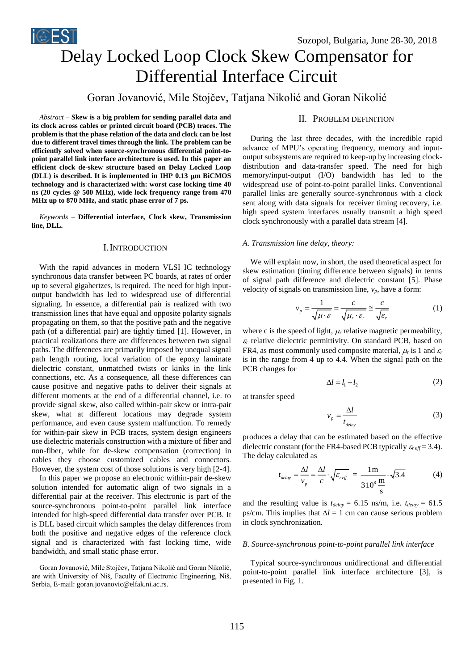# Delay Locked Loop Clock Skew Compensator for Differential Interface Circuit

## Goran Jovanović, Mile Stojčev, Tatjana Nikolić and Goran Nikolić

*Abstract –* **Skew is a big problem for sending parallel data and its clock across cables or printed circuit board (PCB) traces. The problem is that the phase relation of the data and clock can be lost due to different travel times through the link. The problem can be efficiently solved when source-synchronous differential point-topoint parallel link interface architecture is used. In this paper an efficient clock de-skew structure based on Delay Locked Loop (DLL) is described. It is implemented in IHP 0.13 m BiCMOS technology and is characterized with: worst case locking time 40 ns (20 cycles @ 500 MHz), wide lock frequency range from 470 MHz up to 870 MHz, and static phase error of 7 ps.**

*Keywords –* **Differential interface***,* **Clock skew, Transmission line, DLL.**

#### I.INTRODUCTION

With the rapid advances in modern VLSI IC technology synchronous data transfer between PC boards, at rates of order up to several gigahertzes, is required. The need for high inputoutput bandwidth has led to widespread use of differential signaling. In essence, a differential pair is realized with two transmission lines that have equal and opposite polarity signals propagating on them, so that the positive path and the negative path (of a differential pair) are tightly timed [1]. However, in practical realizations there are differences between two signal paths. The differences are primarily imposed by unequal signal path length routing, local variation of the epoxy laminate dielectric constant, unmatched twists or kinks in the link connections, etc. As a consequence, all these differences can cause positive and negative paths to deliver their signals at different moments at the end of a differential channel, i.e. to provide signal skew, also called within-pair skew or intra-pair skew, what at different locations may degrade system performance, and even cause system malfunction. To remedy for within-pair skew in PCB traces, system design engineers use dielectric materials construction with a mixture of fiber and non-fiber, while for de-skew compensation (correction) in cables they choose customized cables and connectors. However, the system cost of those solutions is very high [2-4].

In this paper we propose an electronic within-pair de-skew solution intended for automatic align of two signals in a differential pair at the receiver. This electronic is part of the source-synchronous point-to-point parallel link interface intended for high-speed differential data transfer over PCB. It is DLL based circuit which samples the delay differences from both the positive and negative edges of the reference clock signal and is characterized with fast locking time, wide bandwidth, and small static phase error.

Goran Jovanović, Mile Stojčev, Tatjana Nikolić and Goran Nikolić, are with University of Niš, Faculty of Electronic Engineering, Niš, Serbia, E-mail: goran.jovanovic@elfak.ni.ac.rs.

## II. PROBLEM DEFINITION

During the last three decades, with the incredible rapid advance of MPU's operating frequency, memory and inputoutput subsystems are required to keep-up by increasing clockdistribution and data-transfer speed. The need for high memory/input-output (I/O) bandwidth has led to the widespread use of point-to-point parallel links. Conventional parallel links are generally source-synchronous with a clock sent along with data signals for receiver timing recovery, i.e. high speed system interfaces usually transmit a high speed clock synchronously with a parallel data stream [4].

#### *A. Transmission line delay, theory:*

We will explain now, in short, the used theoretical aspect for skew estimation (timing difference between signals) in terms of signal path difference and dielectric constant [5]. Phase velocity of signals on transmission line, *vp*, have a form:

$$
v_p = \frac{1}{\sqrt{\mu \cdot \varepsilon}} = \frac{c}{\sqrt{\mu_r \cdot \varepsilon_r}} \approx \frac{c}{\sqrt{\varepsilon_r}}
$$
(1)

where c is the speed of light,  $\mu_r$  relative magnetic permeability,  $\varepsilon_r$  relative dielectric permittivity. On standard PCB, based on FR4, as most commonly used composite material,  $\mu_r$  is 1 and  $\varepsilon_r$ is in the range from 4 up to 4.4. When the signal path on the PCB changes for

$$
\Delta l = l_1 - l_2 \tag{2}
$$

at transfer speed

$$
v_p = \frac{\Delta l}{t_{delay}}\tag{3}
$$

produces a delay that can be estimated based on the effective dielectric constant (for the FR4-based PCB typically  $\varepsilon_{\text{ref}} = 3.4$ ). The delay calculated as

$$
t_{delay} = \frac{\Delta l}{v_p} = \frac{\Delta l}{c} \cdot \sqrt{\varepsilon_{reff}} = \frac{1 \,\mathrm{m}}{3 \,10^8 \,\mathrm{\frac{m}{s}}} \cdot \sqrt{3.4} \tag{4}
$$

and the resulting value is  $t_{delay} = 6.15$  ns/m, i.e.  $t_{delay} = 61.5$ ps/cm. This implies that  $\Delta l = 1$  cm can cause serious problem in clock synchronization.

#### *B. Source-synchronous point-to-point parallel link interface*

Typical source-synchronous unidirectional and differential point-to-point parallel link interface architecture [3], is presented in Fig. 1.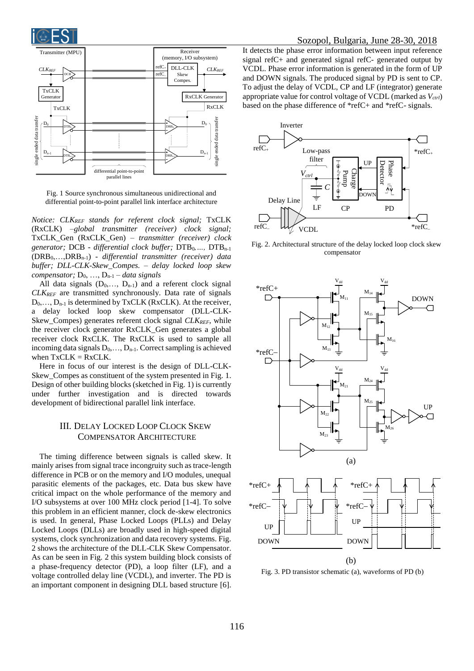



Fig. 1 Source synchronous simultaneous unidirectional and differential point-to-point parallel link interface architecture

*Notice: CLKREF stands for referent clock signal;* TxCLK (RxCLK) *–global transmitter (receiver) clock signal;*  TxCLK\_Gen (RxCLK\_Gen) *– transmitter (receiver) clock generator;* DCB *- differential clock buffer;* DTB<sub>0</sub>,..., DTB<sub>n-1</sub> (DRB0,…,DRBn-1) *- differential transmitter (receiver) data buffer; DLL-CLK-Skew\_Compes. – delay locked loop skew compensator*;  $D_0$ , ...,  $D_{n-1}$  – *data signals* 

All data signals  $(D_0,..., D_{n-1})$  and a referent clock signal *CLKREF* are transmitted synchronously. Data rate of signals  $D_0, \ldots, D_{n-1}$  is determined by TxCLK (RxCLK). At the receiver, a delay locked loop skew compensator (DLL-CLK-Skew\_Compes) generates referent clock signal *CLKREF*, while the receiver clock generator RxCLK\_Gen generates a global receiver clock RxCLK. The RxCLK is used to sample all incoming data signals  $D_0, \ldots, D_{n-1}$ . Correct sampling is achieved when  $TxCLK = RxCLK$ .

Here in focus of our interest is the design of DLL-CLK-Skew\_Compes as constituent of the system presented in Fig. 1. Design of other building blocks (sketched in Fig. 1) is currently under further investigation and is directed towards development of bidirectional parallel link interface.

## III. DELAY LOCKED LOOP CLOCK SKEW COMPENSATOR ARCHITECTURE

The timing difference between signals is called skew. It mainly arises from signal trace incongruity such as trace-length difference in PCB or on the memory and I/O modules, unequal parasitic elements of the packages, etc. Data bus skew have critical impact on the whole performance of the memory and I/O subsystems at over 100 MHz clock period [1-4]. To solve this problem in an efficient manner, clock de-skew electronics is used. In general, Phase Locked Loops (PLLs) and Delay Locked Loops (DLLs) are broadly used in high-speed digital systems, clock synchronization and data recovery systems. Fig. 2 shows the architecture of the DLL-CLK Skew Compensator. As can be seen in Fig. 2 this system building block consists of a phase-frequency detector (PD), a loop filter (LF), and a voltage controlled delay line (VCDL), and inverter. The PD is an important component in designing DLL based structure [6]. It detects the phase error information between input reference signal refC+ and generated signal refC- generated output by VCDL. Phase error information is generated in the form of UP and DOWN signals. The produced signal by PD is sent to CP. To adjust the delay of VCDL, CP and LF (integrator) generate appropriate value for control voltage of VCDL (marked as *Vctrl*) based on the phase difference of \*refC+ and \*refC- signals.



Fig. 2. Architectural structure of the delay locked loop clock skew compensator



Fig. 3. PD transistor schematic (a), waveforms of PD (b)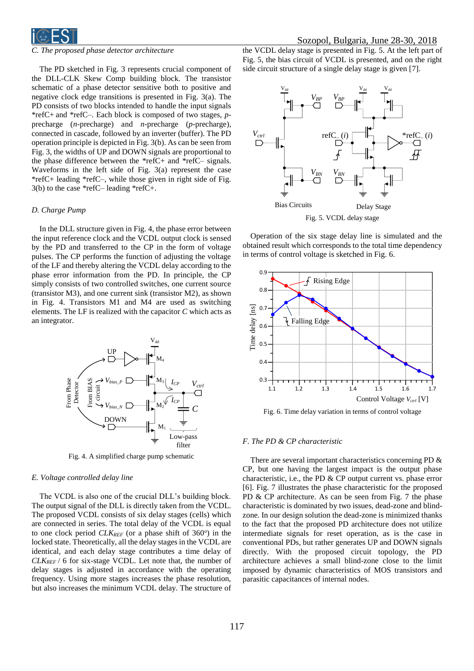

#### *C. The proposed phase detector architecture*

The PD sketched in Fig. 3 represents crucial component of the DLL-CLK Skew Comp building block. The transistor schematic of a phase detector sensitive both to positive and negative clock edge transitions is presented in Fig. 3(a). The PD consists of two blocks intended to handle the input signals \*refC+ and \*refC–. Each block is composed of two stages, *p*precharge (*n*-precharge) and *n*-precharge (*p*-precharge), connected in cascade, followed by an inverter (buffer). The PD operation principle is depicted in Fig. 3(b). As can be seen from Fig. 3, the widths of UP and DOWN signals are proportional to the phase difference between the \*refC+ and \*refC– signals. Waveforms in the left side of Fig. 3(a) represent the case \*refC+ leading \*refC–, while those given in right side of Fig. 3(b) to the case \*refC– leading \*refC+.

#### *D. Charge Pump*

In the DLL structure given in Fig. 4, the phase error between the input reference clock and the VCDL output clock is sensed by the PD and transferred to the CP in the form of voltage pulses. The CP performs the function of adjusting the voltage of the LF and thereby altering the VCDL delay according to the phase error information from the PD. In principle, the CP simply consists of two controlled switches, one current source (transistor M3), and one current sink (transistor M2), as shown in Fig. 4. Transistors M1 and M4 are used as switching elements. The LF is realized with the capacitor *C* which acts as an integrator.



Fig. 4. A simplified charge pump schematic

#### *E. Voltage controlled delay line*

The VCDL is also one of the crucial DLL's building block. The output signal of the DLL is directly taken from the VCDL. The proposed VCDL consists of six delay stages (cells) which are connected in series. The total delay of the VCDL is equal to one clock period  $CLK_{REF}$  (or a phase shift of 360 $^{\circ}$ ) in the locked state. Theoretically, all the delay stages in the VCDL are identical, and each delay stage contributes a time delay of *CLKREF* / 6 for six-stage VCDL. Let note that, the number of delay stages is adjusted in accordance with the operating frequency. Using more stages increases the phase resolution, but also increases the minimum VCDL delay. The structure of

the VCDL delay stage is presented in Fig. 5. At the left part of Fig. 5, the bias circuit of VCDL is presented, and on the right side circuit structure of a single delay stage is given [7].



Operation of the six stage delay line is simulated and the obtained result which corresponds to the total time dependency in terms of control voltage is sketched in Fig. 6.



Fig. 6. Time delay variation in terms of control voltage

#### *F. The PD & CP characteristic*

There are several important characteristics concerning PD & CP, but one having the largest impact is the output phase characteristic, i.e., the PD & CP output current vs. phase error [6]. Fig. 7 illustrates the phase characteristic for the proposed PD & CP architecture. As can be seen from Fig. 7 the phase characteristic is dominated by two issues, dead-zone and blindzone. In our design solution the dead-zone is minimized thanks to the fact that the proposed PD architecture does not utilize intermediate signals for reset operation, as is the case in conventional PDs, but rather generates UP and DOWN signals directly. With the proposed circuit topology, the PD architecture achieves a small blind-zone close to the limit imposed by dynamic characteristics of MOS transistors and parasitic capacitances of internal nodes.